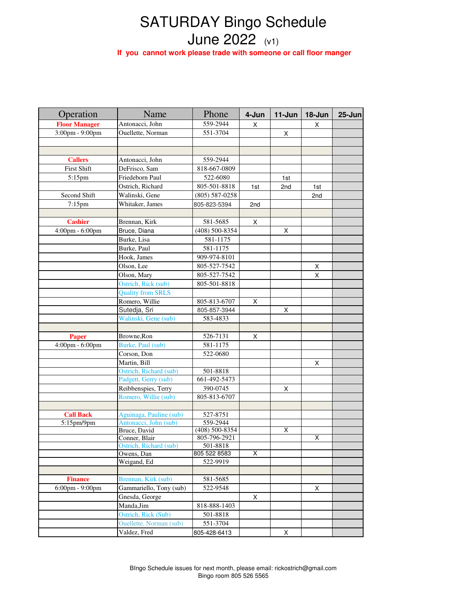## SATURDAY Bingo Schedule June 2022 (v1)

 **If you cannot work please trade with someone or call floor manger**

| Operation                           | Name                                    | Phone                    | 4-Jun           | 11-Jun | 18-Jun | $25 - Jun$ |
|-------------------------------------|-----------------------------------------|--------------------------|-----------------|--------|--------|------------|
| <b>Floor Manager</b>                | Antonacci, John                         | 559-2944                 | X               |        | Χ      |            |
| 3:00pm - 9:00pm                     | Ouellette, Norman                       | 551-3704                 |                 | X      |        |            |
|                                     |                                         |                          |                 |        |        |            |
|                                     |                                         |                          |                 |        |        |            |
| <b>Callers</b>                      | Antonacci, John                         | 559-2944                 |                 |        |        |            |
| <b>First Shift</b>                  | DeFrisco, Sam                           | 818-667-0809             |                 |        |        |            |
| $5:15$ pm                           | Friedeborn Paul                         | 522-6080                 |                 | 1st    |        |            |
|                                     | Ostrich, Richard                        | 805-501-8818             | 1st             | 2nd    | 1st    |            |
| Second Shift                        | Walinski, Gene                          | $(805) 587 - 0258$       |                 |        | 2nd    |            |
| $7:15$ pm                           | Whitaker, James                         | 805-823-5394             | 2 <sub>nd</sub> |        |        |            |
|                                     |                                         |                          |                 |        |        |            |
| <b>Cashier</b>                      | Brennan, Kirk                           | 581-5685                 | X.              |        |        |            |
| 4:00pm - 6:00pm                     | Bruce, Diana                            | (408) 500-8354           |                 | X      |        |            |
|                                     | Burke, Lisa                             | 581-1175                 |                 |        |        |            |
|                                     | Burke, Paul                             | 581-1175                 |                 |        |        |            |
|                                     |                                         | 909-974-8101             |                 |        |        |            |
|                                     | Hook, James                             |                          |                 |        |        |            |
|                                     | Olson, Lee                              | 805-527-7542             |                 |        | X      |            |
|                                     | Olson, Mary                             | 805-527-7542             |                 |        | X      |            |
|                                     | Ostrich, Rick (sub)                     | 805-501-8818             |                 |        |        |            |
|                                     | <b>Quality from SRLS</b>                |                          |                 |        |        |            |
|                                     | Romero, Willie                          | 805-813-6707             | X               |        |        |            |
|                                     | Sutedja, Sri                            | 805-857-3944             |                 | X      |        |            |
|                                     | Walinski, Gene (sub)                    | 583-4833                 |                 |        |        |            |
|                                     |                                         |                          |                 |        |        |            |
| <b>Paper</b>                        | Browne, Ron                             | 526-7131                 | X               |        |        |            |
| $4:00 \text{pm} - 6:00 \text{pm}$   | Burke, Paul (sub)                       | 581-1175                 |                 |        |        |            |
|                                     | Corson, Don                             | 522-0680                 |                 |        |        |            |
|                                     | Martin, Bill                            |                          |                 |        | Χ      |            |
|                                     | Ostrich, Richard (sub)                  | 501-8818                 |                 |        |        |            |
|                                     | Padgett, Gerry (sub)                    | 661-492-5473             |                 |        |        |            |
|                                     | Reibbenspies, Terry                     | 390-0745                 |                 | Χ      |        |            |
|                                     | Romero, Willie (sub)                    | 805-813-6707             |                 |        |        |            |
|                                     |                                         |                          |                 |        |        |            |
| <b>Call Back</b>                    | Aguinaga, Pauline (sub)                 | 527-8751                 |                 |        |        |            |
| 5:15 <sub>pm</sub> /9 <sub>pm</sub> | Antonacci, John (sub)                   | 559-2944                 |                 |        |        |            |
|                                     | Bruce, David                            | $(408)$ 500-8354         |                 | X      | Χ      |            |
|                                     | Conner, Blair<br>Ostrich, Richard (sub) | 805-796-2921<br>501-8818 |                 |        |        |            |
|                                     | Owens, Dan                              | 805 522 8583             | X               |        |        |            |
|                                     | Weigand, Ed                             | 522-9919                 |                 |        |        |            |
|                                     |                                         |                          |                 |        |        |            |
| <b>Finance</b>                      | Brennan, Kirk (sub)                     | 581-5685                 |                 |        |        |            |
| $6:00$ pm - $9:00$ pm               | Gammariello, Tony (sub)                 | 522-9548                 |                 |        | X      |            |
|                                     | Gnesda, George                          |                          | X               |        |        |            |
|                                     | Manda, Jim                              | 818-888-1403             |                 |        |        |            |
|                                     | Ostrich, Rick (Sub)                     | 501-8818                 |                 |        |        |            |
|                                     | <b>Ouellette, Norman (sub)</b>          | 551-3704                 |                 |        |        |            |
|                                     |                                         |                          |                 |        |        |            |
|                                     | Valdez, Fred                            | 805-428-6413             |                 | Χ      |        |            |